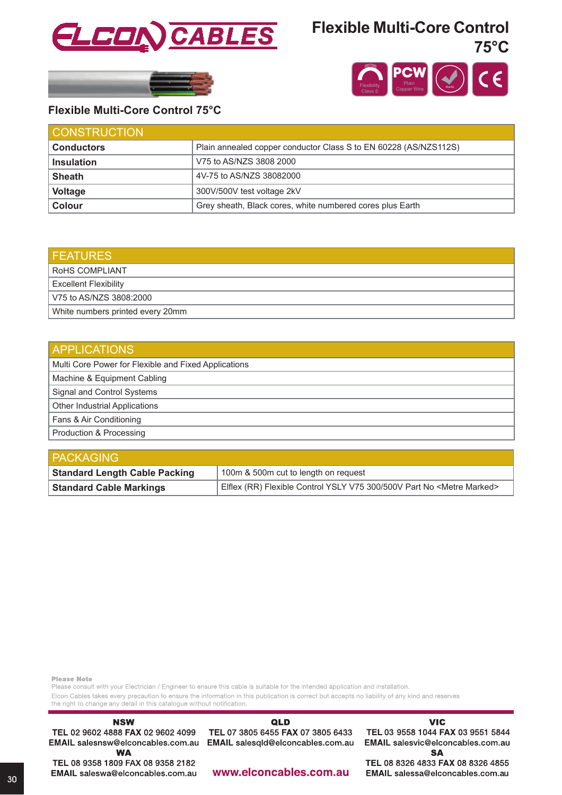

## **Flexible Multi-Core Control 75°C**





### **Flexible Multi-Core Control 75°C**

| <b>CONSTRUCTION</b> |                                                                  |
|---------------------|------------------------------------------------------------------|
| <b>Conductors</b>   | Plain annealed copper conductor Class S to EN 60228 (AS/NZS112S) |
| <b>Insulation</b>   | V75 to AS/NZS 3808 2000                                          |
| <b>Sheath</b>       | 4V-75 to AS/NZS 38082000                                         |
| <b>Voltage</b>      | 300V/500V test voltage 2kV                                       |
| Colour              | Grey sheath, Black cores, white numbered cores plus Earth        |

| <b>FEATURES</b>                  |
|----------------------------------|
| ROHS COMPLIANT                   |
| Excellent Flexibility            |
| V75 to AS/NZS 3808:2000          |
| White numbers printed every 20mm |

| <b>APPLICATIONS</b>                                  |  |  |  |  |
|------------------------------------------------------|--|--|--|--|
| Multi Core Power for Flexible and Fixed Applications |  |  |  |  |
| Machine & Equipment Cabling                          |  |  |  |  |
| Signal and Control Systems                           |  |  |  |  |
| <b>Other Industrial Applications</b>                 |  |  |  |  |
| Fans & Air Conditioning                              |  |  |  |  |
| Production & Processing                              |  |  |  |  |

| <b>PACKAGING</b>                     |                                                                                  |  |  |  |  |
|--------------------------------------|----------------------------------------------------------------------------------|--|--|--|--|
| <b>Standard Length Cable Packing</b> | 100m & 500m cut to length on request                                             |  |  |  |  |
| <b>Standard Cable Markings</b>       | Elflex (RR) Flexible Control YSLY V75 300/500V Part No <metre marked=""></metre> |  |  |  |  |

**Please Note** 

Please consult with your Electrician / Engineer to ensure this cable is suitable for the intended application and installation. Elcon Cables takes every precaution to ensure the information in this publication is correct but accepts no liability of any kind and reserves

the right to change any detail in this catalogue without notification. **NSW** QLD TEL 02 9602 4888 FAX 02 9602 4099 TEL 07 3805 6455 FAX 07 3805 6433 EMAIL salesqld@elconcables.com.au EMAIL salesnsw@elconcables.com.au **WA** TEL 08 9358 1809 FAX 08 9358 2182 www.elconcables.com.au EMAIL saleswa@elconcables.com.au

**VIC** 

TEL 03 9558 1044 FAX 03 9551 5844 EMAIL salesvic@elconcables.com.au **SA** 

TEL 08 8326 4833 FAX 08 8326 4855 EMAIL salessa@elconcables.com.au